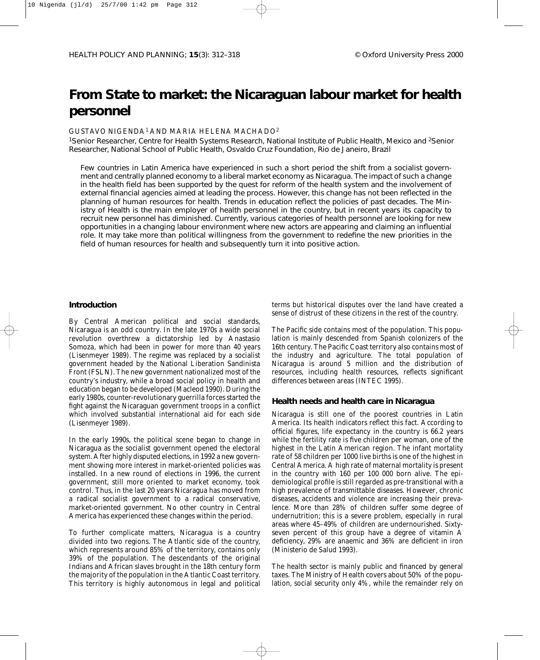# **From State to market: the Nicaraguan labour market for health personnel**

# GUSTAVO NIGENDA1 AND MARIA HELENA MACHADO2

*1Senior Researcher, Centre for Health Systems Research, National Institute of Public Health, Mexico and 2Senior Researcher, National School of Public Health, Osvaldo Cruz Foundation, Rio de Janeiro, Brazil*

Few countries in Latin America have experienced in such a short period the shift from a socialist government and centrally planned economy to a liberal market economy as Nicaragua. The impact of such a change in the health field has been supported by the quest for reform of the health system and the involvement of external financial agencies aimed at leading the process. However, this change has not been reflected in the planning of human resources for health. Trends in education reflect the policies of past decades. The Ministry of Health is the main employer of health personnel in the country, but in recent years its capacity to recruit new personnel has diminished. Currently, various categories of health personnel are looking for new opportunities in a changing labour environment where new actors are appearing and claiming an influential role. It may take more than political willingness from the government to redefine the new priorities in the field of human resources for health and subsequently turn it into positive action.

# **Introduction**

By Central American political and social standards, Nicaragua is an odd country. In the late 1970s a wide social revolution overthrew a dictatorship led by Anastasio Somoza, which had been in power for more than 40 years (Lisenmeyer 1989). The regime was replaced by a socialist government headed by the National Liberation Sandinista Front (FSLN). The new government nationalized most of the country's industry, while a broad social policy in health and education began to be developed (Macleod 1990). During the early 1980s, counter-revolutionary guerrilla forces started the fight against the Nicaraguan government troops in a conflict which involved substantial international aid for each side (Lisenmeyer 1989).

In the early 1990s, the political scene began to change in Nicaragua as the socialist government opened the electoral system. After highly disputed elections, in 1992 a new government showing more interest in market-oriented policies was installed. In a new round of elections in 1996, the current government, still more oriented to market economy, took control. Thus, in the last 20 years Nicaragua has moved from a radical socialist government to a radical conservative, market-oriented government. No other country in Central America has experienced these changes within the period.

To further complicate matters, Nicaragua is a country divided into two regions. The Atlantic side of the country, which represents around 85% of the territory, contains only 39% of the population. The descendants of the original Indians and African slaves brought in the 18th century form the majority of the population in the Atlantic Coast territory. This territory is highly autonomous in legal and political

terms but historical disputes over the land have created a sense of distrust of these citizens in the rest of the country.

The Pacific side contains most of the population. This population is mainly descended from Spanish colonizers of the 16th century. The Pacific Coast territory also contains most of the industry and agriculture. The total population of Nicaragua is around 5 million and the distribution of resources, including health resources, reflects significant differences between areas (INTEC 1995).

# **Health needs and health care in Nicaragua**

Nicaragua is still one of the poorest countries in Latin America. Its health indicators reflect this fact. According to official figures, life expectancy in the country is 66.2 years while the fertility rate is five children per woman, one of the highest in the Latin American region. The infant mortality rate of 58 children per 1000 live births is one of the highest in Central America. A high rate of maternal mortality is present in the country with 160 per 100 000 born alive. The epidemiological profile is still regarded as pre-transitional with a high prevalence of transmittable diseases. However, chronic diseases, accidents and violence are increasing their prevalence. More than 28% of children suffer some degree of undernutrition; this is a severe problem, especially in rural areas where 45–49% of children are undernourished. Sixtyseven percent of this group have a degree of vitamin A deficiency, 29% are anaemic and 36% are deficient in iron (Ministerio de Salud 1993).

The health sector is mainly public and financed by general taxes. The Ministry of Health covers about 50% of the population, social security only 4%, while the remainder rely on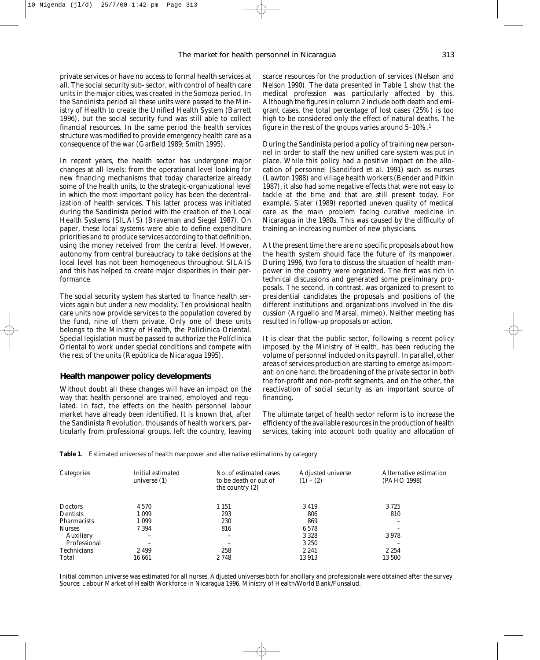private services or have no access to formal health services at all. The social security sub- sector, with control of health care units in the major cities, was created in the Somoza period. In the Sandinista period all these units were passed to the Ministry of Health to create the Unified Health System (Barrett 1996), but the social security fund was still able to collect financial resources. In the same period the health services structure was modified to provide emergency health care as a consequence of the war (Garfield 1989; Smith 1995).

In recent years, the health sector has undergone major changes at all levels: from the operational level looking for new financing mechanisms that today characterize already some of the health units, to the strategic-organizational level in which the most important policy has been the decentralization of health services. This latter process was initiated during the Sandinista period with the creation of the Local Health Systems (SILAIS) (Braveman and Siegel 1987). On paper, these local systems were able to define expenditure priorities and to produce services according to that definition, using the money received from the central level. However, autonomy from central bureaucracy to take decisions at the local level has not been homogeneous throughout SILAIS and this has helped to create major disparities in their performance.

The social security system has started to finance health services again but under a new modality. Ten provisional health care units now provide services to the population covered by the fund, nine of them private. Only one of these units belongs to the Ministry of Health, the Políclinica Oriental. Special legislation must be passed to authorize the Políclinica Oriental to work under special conditions and compete with the rest of the units (República de Nicaragua 1995).

## **Health manpower policy developments**

Without doubt all these changes will have an impact on the way that health personnel are trained, employed and regulated. In fact, the effects on the health personnel labour market have already been identified. It is known that, after the Sandinista Revolution, thousands of health workers, particularly from professional groups, left the country, leaving scarce resources for the production of services (Nelson and Nelson 1990). The data presented in Table 1 show that the medical profession was particularly affected by this. Although the figures in column 2 include both death and emigrant cases, the total percentage of lost cases (25%) is too high to be considered only the effect of natural deaths. The figure in the rest of the groups varies around  $5-10\%$ <sup>1</sup>

During the Sandinista period a policy of training new personnel in order to staff the new unified care system was put in place. While this policy had a positive impact on the allocation of personnel (Sandiford et al. 1991) such as nurses (Lawton 1988) and village health workers (Bender and Pitkin 1987), it also had some negative effects that were not easy to tackle at the time and that are still present today. For example, Slater (1989) reported uneven quality of medical care as the main problem facing curative medicine in Nicaragua in the 1980s. This was caused by the difficulty of training an increasing number of new physicians.

At the present time there are no specific proposals about how the health system should face the future of its manpower. During 1996, two fora to discuss the situation of health manpower in the country were organized. The first was rich in technical discussions and generated some preliminary proposals. The second, in contrast, was organized to present to presidential candidates the proposals and positions of the different institutions and organizations involved in the discussion (Arguello and Marsal, mimeo). Neither meeting has resulted in follow-up proposals or action.

It is clear that the public sector, following a recent policy imposed by the Ministry of Health, has been reducing the volume of personnel included on its payroll. In parallel, other areas of services production are starting to emerge as important: on one hand, the broadening of the private sector in both the for-profit and non-profit segments, and on the other, the reactivation of social security as an important source of financing.

The ultimate target of health sector reform is to increase the efficiency of the available resources in the production of health services, taking into account both quality and allocation of

| Categories   | Initial estimated<br>universe $(1)$ | No. of estimated cases<br>to be death or out of<br>the country $(2)$ | <b>Adjusted universe</b><br>$(1) - (2)$ | Alternative estimation<br>(PAHO 1998) |
|--------------|-------------------------------------|----------------------------------------------------------------------|-----------------------------------------|---------------------------------------|
| Doctors      | 4 5 7 0                             | 1 1 5 1                                                              | 3419                                    | 3725                                  |
| Dentists     | 1 099                               | 293                                                                  | 806                                     | 810                                   |
| Pharmacists  | 1 099                               | 230                                                                  | 869                                     |                                       |
| Nurses       | 7 3 9 4                             | 816                                                                  | 6578                                    |                                       |
| Auxiliary    | -                                   |                                                                      | 3 3 2 8                                 | 3978                                  |
| Professional |                                     |                                                                      | 3 2 5 0                                 |                                       |
|              |                                     |                                                                      |                                         |                                       |

Technicians 2 499 258 2 241 2 254 Total 16 661 2 748 13 913 13 500

**Table 1.** Estimated universes of health manpower and alternative estimations by category

Initial common universe was estimated for all nurses. Adjusted universes both for ancillary and professionals were obtained after the survey. *Source*: Labour Market of Health Workforce in Nicaragua 1996. Ministry of Health/World Bank/Funsalud.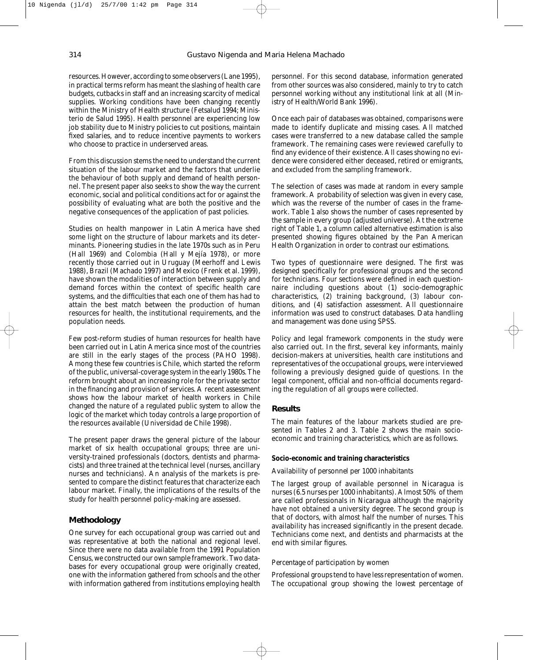resources. However, according to some observers (Lane 1995), in practical terms reform has meant the slashing of health care budgets, cutbacks in staff and an increasing scarcity of medical supplies. Working conditions have been changing recently within the Ministry of Health structure (Fetsalud 1994; Ministerio de Salud 1995). Health personnel are experiencing low job stability due to Ministry policies to cut positions, maintain fixed salaries, and to reduce incentive payments to workers who choose to practice in underserved areas.

From this discussion stems the need to understand the current situation of the labour market and the factors that underlie the behaviour of both supply and demand of health personnel. The present paper also seeks to show the way the current economic, social and political conditions act for or against the possibility of evaluating what are both the positive and the negative consequences of the application of past policies.

Studies on health manpower in Latin America have shed some light on the structure of labour markets and its determinants. Pioneering studies in the late 1970s such as in Peru (Hall 1969) and Colombia (Hall y Mejía 1978), or more recently those carried out in Uruguay (Meerhoff and Lewis 1988), Brazil (Machado 1997) and Mexico (Frenk et al. 1999), have shown the modalities of interaction between supply and demand forces within the context of specific health care systems, and the difficulties that each one of them has had to attain the best match between the production of human resources for health, the institutional requirements, and the population needs.

Few post-reform studies of human resources for health have been carried out in Latin America since most of the countries are still in the early stages of the process (PAHO 1998). Among these few countries is Chile, which started the reform of the public, universal-coverage system in the early 1980s. The reform brought about an increasing role for the private sector in the financing and provision of services. A recent assessment shows how the labour market of health workers in Chile changed the nature of a regulated public system to allow the logic of the market which today controls a large proportion of the resources available (Universidad de Chile 1998).

The present paper draws the general picture of the labour market of six health occupational groups; three are university-trained professionals (doctors, dentists and pharmacists) and three trained at the technical level (nurses, ancillary nurses and technicians). An analysis of the markets is presented to compare the distinct features that characterize each labour market. Finally, the implications of the results of the study for health personnel policy-making are assessed.

# **Methodology**

One survey for each occupational group was carried out and was representative at both the national and regional level. Since there were no data available from the 1991 Population Census, we constructed our own sample framework. Two databases for every occupational group were originally created, one with the information gathered from schools and the other with information gathered from institutions employing health personnel. For this second database, information generated from other sources was also considered, mainly to try to catch personnel working without any institutional link at all (Ministry of Health/World Bank 1996).

Once each pair of databases was obtained, comparisons were made to identify duplicate and missing cases. All matched cases were transferred to a new database called the sample framework. The remaining cases were reviewed carefully to find any evidence of their existence. All cases showing no evidence were considered either deceased, retired or emigrants, and excluded from the sampling framework.

The selection of cases was made at random in every sample framework. A probability of selection was given in every case, which was the reverse of the number of cases in the framework. Table 1 also shows the number of cases represented by the sample in every group (adjusted universe). At the extreme right of Table 1, a column called alternative estimation is also presented showing figures obtained by the Pan American Health Organization in order to contrast our estimations.

Two types of questionnaire were designed. The first was designed specifically for professional groups and the second for technicians. Four sections were defined in each questionnaire including questions about (1) socio-demographic characteristics, (2) training background, (3) labour conditions, and (4) satisfaction assessment. All questionnaire information was used to construct databases. Data handling and management was done using SPSS.

Policy and legal framework components in the study were also carried out. In the first, several key informants, mainly decision-makers at universities, health care institutions and representatives of the occupational groups, were interviewed following a previously designed guide of questions. In the legal component, official and non-official documents regarding the regulation of all groups were collected.

# **Results**

The main features of the labour markets studied are presented in Tables 2 and 3. Table 2 shows the main socioeconomic and training characteristics, which are as follows.

## **Socio-economic and training characteristics**

## *Availability of personnel per 1000 inhabitants*

The largest group of available personnel in Nicaragua is nurses (6.5 nurses per 1000 inhabitants). Almost 50% of them are called professionals in Nicaragua although the majority have not obtained a university degree. The second group is that of doctors, with almost half the number of nurses. This availability has increased significantly in the present decade. Technicians come next, and dentists and pharmacists at the end with similar figures.

## *Percentage of participation by women*

Professional groups tend to have less representation of women. The occupational group showing the lowest percentage of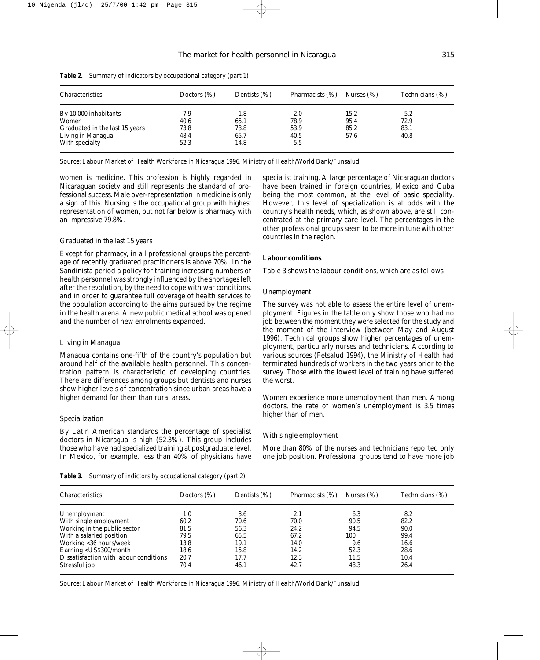| <b>Characteristics</b>         | Doctors $(\%)$ | Dentists $(\%)$ | Pharmacists (%) | Nurses $(\%)$ | Technicians (%)          |
|--------------------------------|----------------|-----------------|-----------------|---------------|--------------------------|
| By 10 000 inhabitants          | 7.9            | 1.8             | 2.0             | 15.2          | 5.2                      |
| Women                          | 40.6           | 65.1            | 78.9            | 95.4          | 72.9                     |
| Graduated in the last 15 years | 73.8           | 73.8            | 53.9            | 85.2          | 83.1                     |
| Living in Managua              | 48.4           | 65.7            | 40.5            | 57.6          | 40.8                     |
| With specialty                 | 52.3           | 14.8            | 5.5             |               | $\overline{\phantom{m}}$ |

**Table 2.** Summary of indicators by occupational category (part 1)

*Source*: Labour Market of Health Workforce in Nicaragua 1996. Ministry of Health/World Bank/Funsalud.

women is medicine. This profession is highly regarded in Nicaraguan society and still represents the standard of professional success. Male over-representation in medicine is only a sign of this. Nursing is the occupational group with highest representation of women, but not far below is pharmacy with an impressive 79.8%.

#### *Graduated in the last 15 years*

Except for pharmacy, in all professional groups the percentage of recently graduated practitioners is above 70%. In the Sandinista period a policy for training increasing numbers of health personnel was strongly influenced by the shortages left after the revolution, by the need to cope with war conditions, and in order to guarantee full coverage of health services to the population according to the aims pursued by the regime in the health arena. A new public medical school was opened and the number of new enrolments expanded.

## *Living in Managua*

Managua contains one-fifth of the country's population but around half of the available health personnel. This concentration pattern is characteristic of developing countries. There are differences among groups but dentists and nurses show higher levels of concentration since urban areas have a higher demand for them than rural areas.

#### *Specialization*

By Latin American standards the percentage of specialist doctors in Nicaragua is high (52.3%). This group includes those who have had specialized training at postgraduate level. In Mexico, for example, less than 40% of physicians have

specialist training. A large percentage of Nicaraguan doctors have been trained in foreign countries, Mexico and Cuba being the most common, at the level of basic speciality. However, this level of specialization is at odds with the country's health needs, which, as shown above, are still concentrated at the primary care level. The percentages in the other professional groups seem to be more in tune with other countries in the region.

#### **Labour conditions**

Table 3 shows the labour conditions, which are as follows.

#### *Unemployment*

The survey was not able to assess the entire level of unemployment. Figures in the table only show those who had no job between the moment they were selected for the study and the moment of the interview (between May and August 1996). Technical groups show higher percentages of unemployment, particularly nurses and technicians. According to various sources (Fetsalud 1994), the Ministry of Health had terminated hundreds of workers in the two years prior to the survey. Those with the lowest level of training have suffered the worst.

Women experience more unemployment than men. Among doctors, the rate of women's unemployment is 3.5 times higher than of men.

## *With single employment*

More than 80% of the nurses and technicians reported only one job position. Professional groups tend to have more job

**Table 3.** Summary of indictors by occupational category (part 2)

| <b>Characteristics</b>                                                                                       | Doctors $(\%)$ | Dentists $(\%)$ | Pharmacists (%) | Nurses $(\%)$ | Technicians (%) |
|--------------------------------------------------------------------------------------------------------------|----------------|-----------------|-----------------|---------------|-----------------|
| Unemployment                                                                                                 | 1.0            | 3.6             | 2.1             | 6.3           | 8.2             |
| With single employment                                                                                       | 60.2           | 70.6            | 70.0            | 90.5          | 82.2            |
| Working in the public sector                                                                                 | 81.5           | 56.3            | 24.2            | 94.5          | 90.0            |
| With a salaried position                                                                                     | 79.5           | 65.5            | 67.2            | 100           | 99.4            |
| Working <36 hours/week                                                                                       | 13.8           | 19.1            | 14.0            | 9.6           | 16.6            |
| Earning <us\$300 month<="" td=""><td>18.6</td><td>15.8</td><td>14.2</td><td>52.3</td><td>28.6</td></us\$300> | 18.6           | 15.8            | 14.2            | 52.3          | 28.6            |
| Dissatisfaction with labour conditions                                                                       | 20.7           | 17.7            | 12.3            | 11.5          | 10.4            |
| Stressful job                                                                                                | 70.4           | 46.1            | 42.7            | 48.3          | 26.4            |
|                                                                                                              |                |                 |                 |               |                 |

*Source*: Labour Market of Health Workforce in Nicaragua 1996. Ministry of Health/World Bank/Funsalud.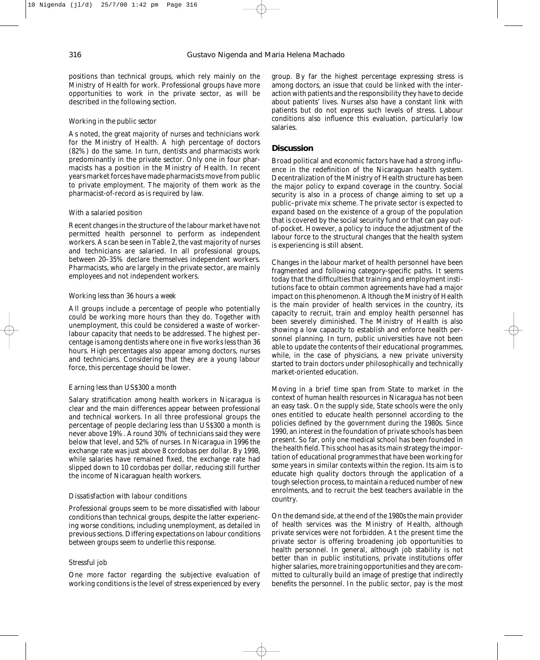positions than technical groups, which rely mainly on the Ministry of Health for work. Professional groups have more opportunities to work in the private sector, as will be described in the following section.

#### *Working in the public sector*

As noted, the great majority of nurses and technicians work for the Ministry of Health. A high percentage of doctors (82%) do the same. In turn, dentists and pharmacists work predominantly in the private sector. Only one in four pharmacists has a position in the Ministry of Health. In recent years market forces have made pharmacists move from public to private employment. The majority of them work as the pharmacist-of-record as is required by law.

#### *With a salaried position*

Recent changes in the structure of the labour market have not permitted health personnel to perform as independent workers. As can be seen in Table 2, the vast majority of nurses and technicians are salaried. In all professional groups, between 20–35% declare themselves independent workers. Pharmacists, who are largely in the private sector, are mainly employees and not independent workers.

#### *Working less than 36 hours a week*

All groups include a percentage of people who potentially could be working more hours than they do. Together with unemployment, this could be considered a waste of workerlabour capacity that needs to be addressed. The highest percentage is among dentists where one in five works less than 36 hours. High percentages also appear among doctors, nurses and technicians. Considering that they are a young labour force, this percentage should be lower.

#### *Earning less than US\$300 a month*

Salary stratification among health workers in Nicaragua is clear and the main differences appear between professional and technical workers. In all three professional groups the percentage of people declaring less than US\$300 a month is never above 19%. Around 30% of technicians said they were below that level, and 52% of nurses. In Nicaragua in 1996 the exchange rate was just above 8 cordobas per dollar. By 1998, while salaries have remained fixed, the exchange rate had slipped down to 10 cordobas per dollar, reducing still further the income of Nicaraguan health workers.

## *Dissatisfaction with labour conditions*

Professional groups seem to be more dissatisfied with labour conditions than technical groups, despite the latter experiencing worse conditions, including unemployment, as detailed in previous sections. Differing expectations on labour conditions between groups seem to underlie this response.

## *Stressful job*

One more factor regarding the subjective evaluation of working conditions is the level of stress experienced by every

group. By far the highest percentage expressing stress is among doctors, an issue that could be linked with the interaction with patients and the responsibility they have to decide about patients' lives. Nurses also have a constant link with patients but do not express such levels of stress. Labour conditions also influence this evaluation, particularly low salaries.

#### **Discussion**

Broad political and economic factors have had a strong influence in the redefinition of the Nicaraguan health system. Decentralization of the Ministry of Health structure has been the major policy to expand coverage in the country. Social security is also in a process of change aiming to set up a public–private mix scheme. The private sector is expected to expand based on the existence of a group of the population that is covered by the social security fund or that can pay outof-pocket. However, a policy to induce the adjustment of the labour force to the structural changes that the health system is experiencing is still absent.

Changes in the labour market of health personnel have been fragmented and following category-specific paths. It seems today that the difficulties that training and employment institutions face to obtain common agreements have had a major impact on this phenomenon. Although the Ministry of Health is the main provider of health services in the country, its capacity to recruit, train and employ health personnel has been severely diminished. The Ministry of Health is also showing a low capacity to establish and enforce health personnel planning. In turn, public universities have not been able to update the contents of their educational programmes, while, in the case of physicians, a new private university started to train doctors under philosophically and technically market-oriented education.

Moving in a brief time span from State to market in the context of human health resources in Nicaragua has not been an easy task. On the supply side, State schools were the only ones entitled to educate health personnel according to the policies defined by the government during the 1980s. Since 1990, an interest in the foundation of private schools has been present. So far, only one medical school has been founded in the health field. This school has as its main strategy the importation of educational programmes that have been working for some years in similar contexts within the region. Its aim is to educate high quality doctors through the application of a tough selection process, to maintain a reduced number of new enrolments, and to recruit the best teachers available in the country.

On the demand side, at the end of the 1980s the main provider of health services was the Ministry of Health, although private services were not forbidden. At the present time the private sector is offering broadening job opportunities to health personnel. In general, although job stability is not better than in public institutions, private institutions offer higher salaries, more training opportunities and they are committed to culturally build an image of prestige that indirectly benefits the personnel. In the public sector, pay is the most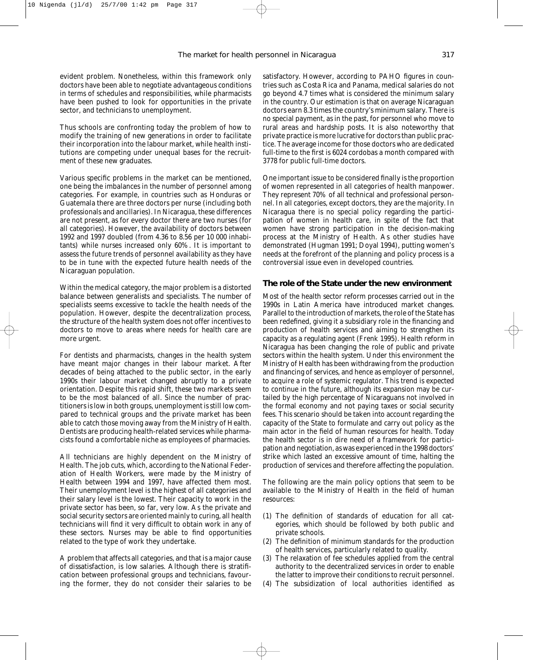evident problem. Nonetheless, within this framework only doctors have been able to negotiate advantageous conditions in terms of schedules and responsibilities, while pharmacists have been pushed to look for opportunities in the private sector, and technicians to unemployment.

Thus schools are confronting today the problem of how to modify the training of new generations in order to facilitate their incorporation into the labour market, while health institutions are competing under unequal bases for the recruitment of these new graduates.

Various specific problems in the market can be mentioned, one being the imbalances in the number of personnel among categories. For example, in countries such as Honduras or Guatemala there are three doctors per nurse (including both professionals and ancillaries). In Nicaragua, these differences are not present, as for every doctor there are two nurses (for all categories). However, the availability of doctors between 1992 and 1997 doubled (from 4.36 to 8.56 per 10 000 inhabitants) while nurses increased only 60%. It is important to assess the future trends of personnel availability as they have to be in tune with the expected future health needs of the Nicaraguan population.

Within the medical category, the major problem is a distorted balance between generalists and specialists. The number of specialists seems excessive to tackle the health needs of the population. However, despite the decentralization process, the structure of the health system does not offer incentives to doctors to move to areas where needs for health care are more urgent.

For dentists and pharmacists, changes in the health system have meant major changes in their labour market. After decades of being attached to the public sector, in the early 1990s their labour market changed abruptly to a private orientation. Despite this rapid shift, these two markets seem to be the most balanced of all. Since the number of practitioners is low in both groups, unemployment is still low compared to technical groups and the private market has been able to catch those moving away from the Ministry of Health. Dentists are producing health-related services while pharmacists found a comfortable niche as employees of pharmacies.

All technicians are highly dependent on the Ministry of Health. The job cuts, which, according to the National Federation of Health Workers, were made by the Ministry of Health between 1994 and 1997, have affected them most. Their unemployment level is the highest of all categories and their salary level is the lowest. Their capacity to work in the private sector has been, so far, very low. As the private and social security sectors are oriented mainly to curing, all health technicians will find it very difficult to obtain work in any of these sectors. Nurses may be able to find opportunities related to the type of work they undertake.

A problem that affects all categories, and that is a major cause of dissatisfaction, is low salaries. Although there is stratification between professional groups and technicians, favouring the former, they do not consider their salaries to be satisfactory. However, according to PAHO figures in countries such as Costa Rica and Panama, medical salaries do not go beyond 4.7 times what is considered the minimum salary in the country. Our estimation is that on average Nicaraguan doctors earn 8.3 times the country's minimum salary. There is no special payment, as in the past, for personnel who move to rural areas and hardship posts. It is also noteworthy that private practice is more lucrative for doctors than public practice. The average income for those doctors who are dedicated full-time to the first is 6024 cordobas a month compared with 3778 for public full-time doctors.

One important issue to be considered finally is the proportion of women represented in all categories of health manpower. They represent 70% of all technical and professional personnel. In all categories, except doctors, they are the majority. In Nicaragua there is no special policy regarding the participation of women in health care, in spite of the fact that women have strong participation in the decision-making process at the Ministry of Health. As other studies have demonstrated (Hugman 1991; Doyal 1994), putting women's needs at the forefront of the planning and policy process is a controversial issue even in developed countries.

# **The role of the State under the new environment**

Most of the health sector reform processes carried out in the 1990s in Latin America have introduced market changes. Parallel to the introduction of markets, the role of the State has been redefined, giving it a subsidiary role in the financing and production of health services and aiming to strengthen its capacity as a regulating agent (Frenk 1995). Health reform in Nicaragua has been changing the role of public and private sectors within the health system. Under this environment the Ministry of Health has been withdrawing from the production and financing of services, and hence as employer of personnel, to acquire a role of systemic regulator. This trend is expected to continue in the future, although its expansion may be curtailed by the high percentage of Nicaraguans not involved in the formal economy and not paying taxes or social security fees. This scenario should be taken into account regarding the capacity of the State to formulate and carry out policy as the main actor in the field of human resources for health. Today the health sector is in dire need of a framework for participation and negotiation, as was experienced in the 1998 doctors' strike which lasted an excessive amount of time, halting the production of services and therefore affecting the population.

The following are the main policy options that seem to be available to the Ministry of Health in the field of human resources:

- (1) The definition of standards of education for all categories, which should be followed by both public and private schools.
- (2) The definition of minimum standards for the production of health services, particularly related to quality.
- (3) The relaxation of fee schedules applied from the central authority to the decentralized services in order to enable the latter to improve their conditions to recruit personnel.
- (4) The subsidization of local authorities identified as